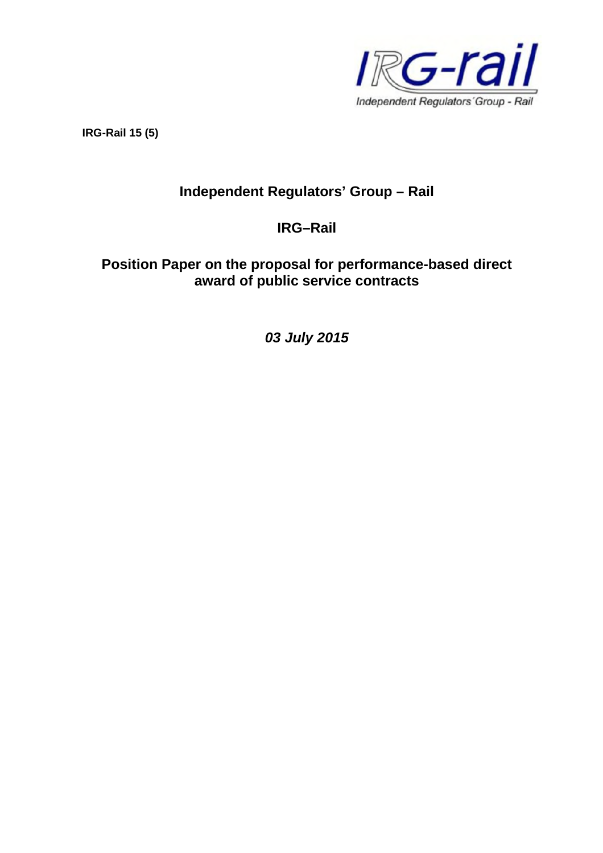

**IRG-Rail 15 (5)**

# **Independent Regulators' Group – Rail**

## **IRG–Rail**

## **Position Paper on the proposal for performance-based direct award of public service contracts**

*03 July 2015*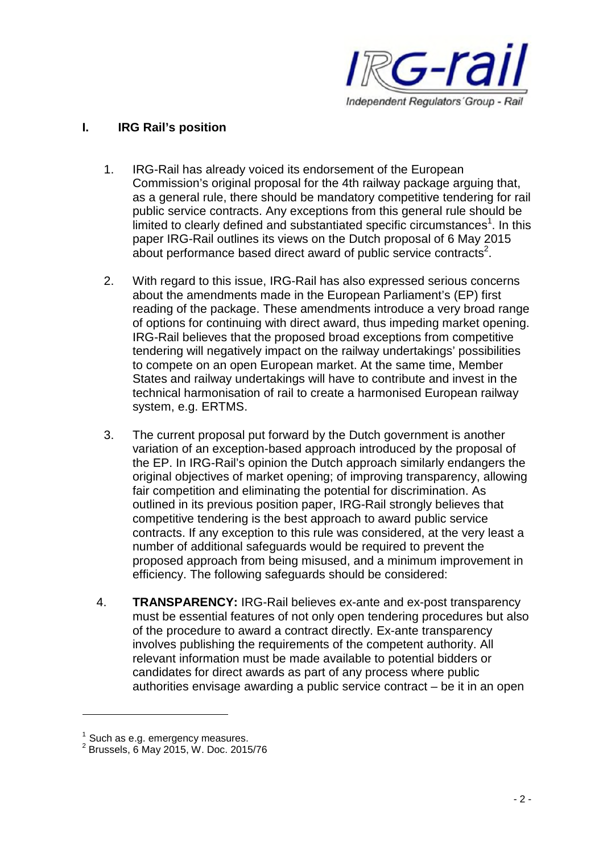

#### **I. IRG Rail's position**

- 1. IRG-Rail has already voiced its endorsement of the European Commission's original proposal for the 4th railway package arguing that, as a general rule, there should be mandatory competitive tendering for rail public service contracts. Any exceptions from this general rule should be limited to clearly defined and substantiated specific circumstances<sup>1</sup>. In this paper IRG-Rail outlines its views on the Dutch proposal of 6 May 2015 about performance based direct award of public service contracts<sup>2</sup>.
- 2. With regard to this issue, IRG-Rail has also expressed serious concerns about the amendments made in the European Parliament's (EP) first reading of the package. These amendments introduce a very broad range of options for continuing with direct award, thus impeding market opening. IRG-Rail believes that the proposed broad exceptions from competitive tendering will negatively impact on the railway undertakings' possibilities to compete on an open European market. At the same time, Member States and railway undertakings will have to contribute and invest in the technical harmonisation of rail to create a harmonised European railway system, e.g. ERTMS.
- 3. The current proposal put forward by the Dutch government is another variation of an exception-based approach introduced by the proposal of the EP. In IRG-Rail's opinion the Dutch approach similarly endangers the original objectives of market opening; of improving transparency, allowing fair competition and eliminating the potential for discrimination. As outlined in its previous position paper, IRG-Rail strongly believes that competitive tendering is the best approach to award public service contracts. If any exception to this rule was considered, at the very least a number of additional safeguards would be required to prevent the proposed approach from being misused, and a minimum improvement in efficiency. The following safeguards should be considered:
- 4. **TRANSPARENCY:** IRG-Rail believes ex-ante and ex-post transparency must be essential features of not only open tendering procedures but also of the procedure to award a contract directly. Ex-ante transparency involves publishing the requirements of the competent authority. All relevant information must be made available to potential bidders or candidates for direct awards as part of any process where public authorities envisage awarding a public service contract – be it in an open

 $<sup>1</sup>$  Such as e.g. emergency measures.</sup>

 $^2$  Brussels, 6 May 2015, W. Doc. 2015/76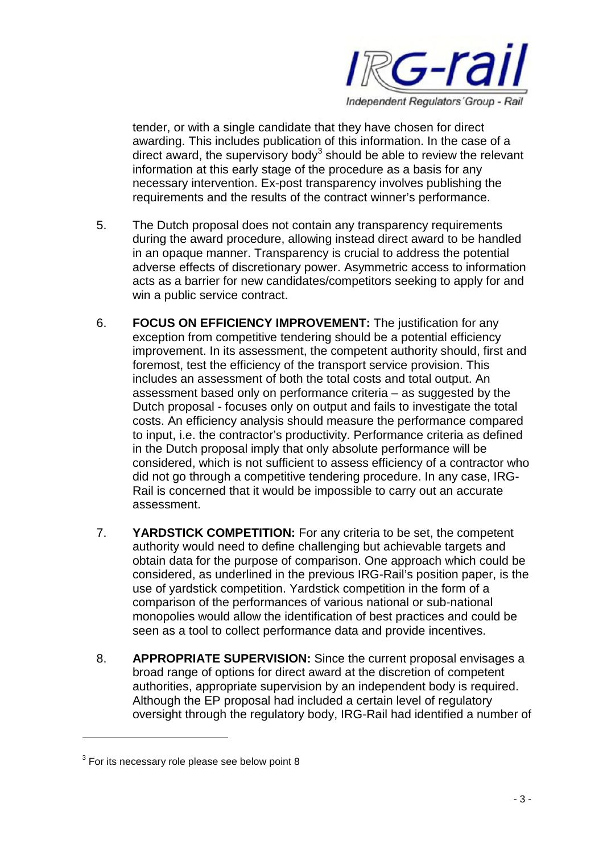

tender, or with a single candidate that they have chosen for direct awarding. This includes publication of this information. In the case of a direct award, the supervisory body<sup>3</sup> should be able to review the relevant information at this early stage of the procedure as a basis for any necessary intervention. Ex-post transparency involves publishing the requirements and the results of the contract winner's performance.

- 5. The Dutch proposal does not contain any transparency requirements during the award procedure, allowing instead direct award to be handled in an opaque manner. Transparency is crucial to address the potential adverse effects of discretionary power. Asymmetric access to information acts as a barrier for new candidates/competitors seeking to apply for and win a public service contract.
- 6. **FOCUS ON EFFICIENCY IMPROVEMENT:** The justification for any exception from competitive tendering should be a potential efficiency improvement. In its assessment, the competent authority should, first and foremost, test the efficiency of the transport service provision. This includes an assessment of both the total costs and total output. An assessment based only on performance criteria – as suggested by the Dutch proposal - focuses only on output and fails to investigate the total costs. An efficiency analysis should measure the performance compared to input, i.e. the contractor's productivity. Performance criteria as defined in the Dutch proposal imply that only absolute performance will be considered, which is not sufficient to assess efficiency of a contractor who did not go through a competitive tendering procedure. In any case, IRG-Rail is concerned that it would be impossible to carry out an accurate assessment.
- 7. **YARDSTICK COMPETITION:** For any criteria to be set, the competent authority would need to define challenging but achievable targets and obtain data for the purpose of comparison. One approach which could be considered, as underlined in the previous IRG-Rail's position paper, is the use of yardstick competition. Yardstick competition in the form of a comparison of the performances of various national or sub-national monopolies would allow the identification of best practices and could be seen as a tool to collect performance data and provide incentives.
- 8. **APPROPRIATE SUPERVISION:** Since the current proposal envisages a broad range of options for direct award at the discretion of competent authorities, appropriate supervision by an independent body is required. Although the EP proposal had included a certain level of regulatory oversight through the regulatory body, IRG-Rail had identified a number of

 $^3$  For its necessary role please see below point 8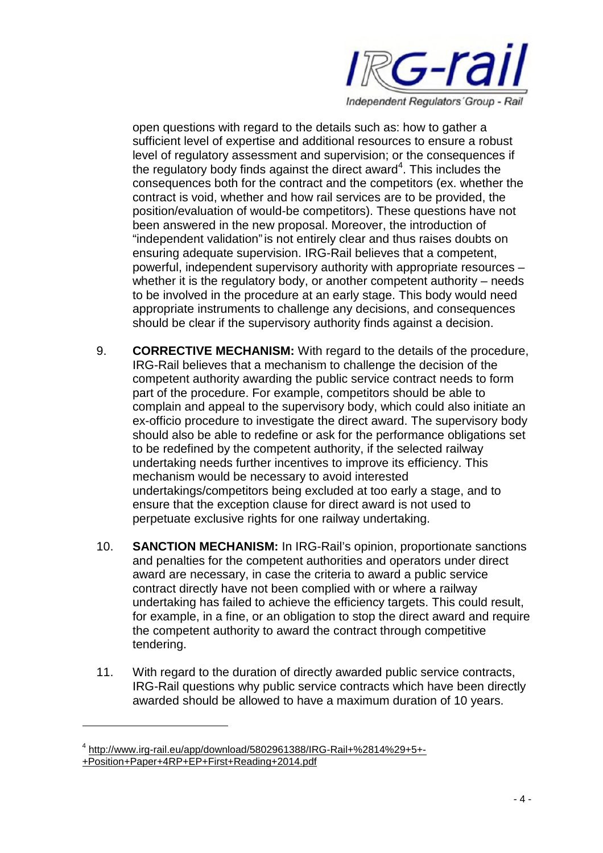

open questions with regard to the details such as: how to gather a sufficient level of expertise and additional resources to ensure a robust level of regulatory assessment and supervision; or the consequences if the regulatory body finds against the direct award<sup>4</sup>. This includes the consequences both for the contract and the competitors (ex. whether the contract is void, whether and how rail services are to be provided, the position/evaluation of would-be competitors). These questions have not been answered in the new proposal. Moreover, the introduction of "independent validation"is not entirely clear and thus raises doubts on ensuring adequate supervision. IRG-Rail believes that a competent, powerful, independent supervisory authority with appropriate resources – whether it is the regulatory body, or another competent authority – needs to be involved in the procedure at an early stage. This body would need appropriate instruments to challenge any decisions, and consequences should be clear if the supervisory authority finds against a decision.

- 9. **CORRECTIVE MECHANISM:** With regard to the details of the procedure, IRG-Rail believes that a mechanism to challenge the decision of the competent authority awarding the public service contract needs to form part of the procedure. For example, competitors should be able to complain and appeal to the supervisory body, which could also initiate an ex-officio procedure to investigate the direct award. The supervisory body should also be able to redefine or ask for the performance obligations set to be redefined by the competent authority, if the selected railway undertaking needs further incentives to improve its efficiency. This mechanism would be necessary to avoid interested undertakings/competitors being excluded at too early a stage, and to ensure that the exception clause for direct award is not used to perpetuate exclusive rights for one railway undertaking.
- 10. **SANCTION MECHANISM:** In IRG-Rail's opinion, proportionate sanctions and penalties for the competent authorities and operators under direct award are necessary, in case the criteria to award a public service contract directly have not been complied with or where a railway undertaking has failed to achieve the efficiency targets. This could result, for example, in a fine, or an obligation to stop the direct award and require the competent authority to award the contract through competitive tendering.
- 11. With regard to the duration of directly awarded public service contracts, IRG-Rail questions why public service contracts which have been directly awarded should be allowed to have a maximum duration of 10 years.

<sup>4</sup> http://www.irg-rail.eu/app/download/5802961388/IRG-Rail+%2814%29+5+- +Position+Paper+4RP+EP+First+Reading+2014.pdf